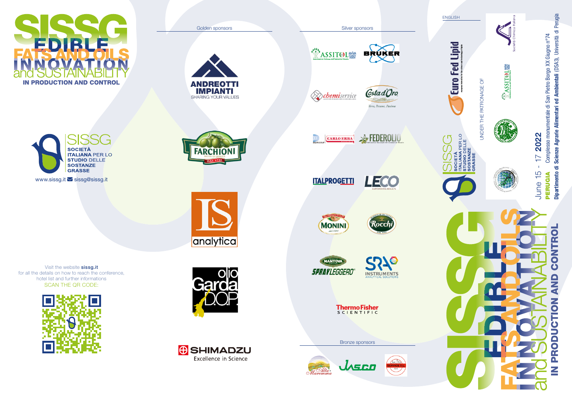

**SOCIETÀ ITALIANA PER LO STUDIO DELLE SOSTANZE GRASSE** 

www.sissg.it Sissg@sissg.it

**FARCHION** 

**ANDREOTTI IMPIANTI** 

SHARING YOUR VALUES

analytica

**WASSITOL®** 

Golden sponsors Silver sponsors Silver sponsors Silver sponsors Silver sponsors Silver sponsors Silver sponsors



**D**chemiservice



**CARLO ERBA** 



**ITALPROGETTI** 



**TA MONINI** 



MANTOVA **SPRAYLEGGERO** 



**ThermoFisher** 



Visit the website sissg.it for all the details on how to reach the conference, hotel list and further informations SCAN THE QR CODE: